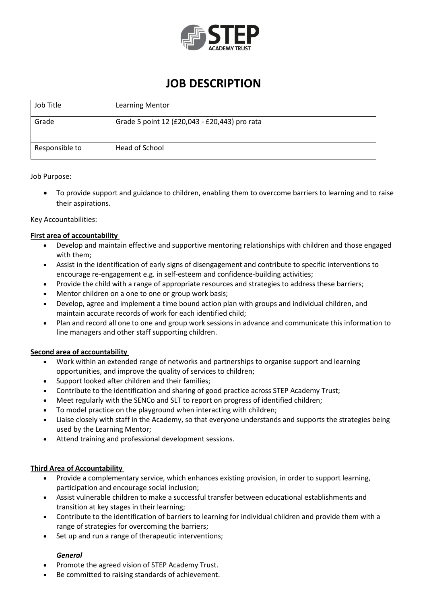

## **JOB DESCRIPTION**

| Job Title      | <b>Learning Mentor</b>                        |
|----------------|-----------------------------------------------|
| Grade          | Grade 5 point 12 (£20,043 - £20,443) pro rata |
| Responsible to | Head of School                                |

#### Job Purpose:

 To provide support and guidance to children, enabling them to overcome barriers to learning and to raise their aspirations.

#### Key Accountabilities:

#### **First area of accountability**

- Develop and maintain effective and supportive mentoring relationships with children and those engaged with them;
- Assist in the identification of early signs of disengagement and contribute to specific interventions to encourage re-engagement e.g. in self-esteem and confidence-building activities;
- Provide the child with a range of appropriate resources and strategies to address these barriers;
- Mentor children on a one to one or group work basis;
- Develop, agree and implement a time bound action plan with groups and individual children, and maintain accurate records of work for each identified child;
- Plan and record all one to one and group work sessions in advance and communicate this information to line managers and other staff supporting children.

#### **Second area of accountability**

- Work within an extended range of networks and partnerships to organise support and learning opportunities, and improve the quality of services to children;
- Support looked after children and their families;
- Contribute to the identification and sharing of good practice across STEP Academy Trust;
- Meet regularly with the SENCo and SLT to report on progress of identified children;
- To model practice on the playground when interacting with children;
- Liaise closely with staff in the Academy, so that everyone understands and supports the strategies being used by the Learning Mentor;
- Attend training and professional development sessions.

#### **Third Area of Accountability**

- Provide a complementary service, which enhances existing provision, in order to support learning, participation and encourage social inclusion;
- Assist vulnerable children to make a successful transfer between educational establishments and transition at key stages in their learning;
- Contribute to the identification of barriers to learning for individual children and provide them with a range of strategies for overcoming the barriers;
- Set up and run a range of therapeutic interventions;

#### *General*

- Promote the agreed vision of STEP Academy Trust.
- Be committed to raising standards of achievement.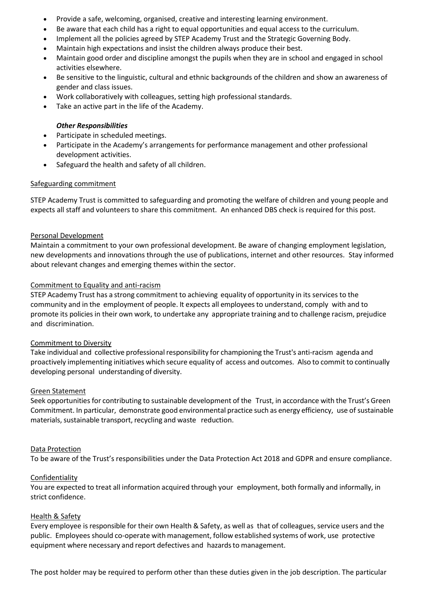- Provide a safe, welcoming, organised, creative and interesting learning environment.
- Be aware that each child has a right to equal opportunities and equal access to the curriculum.
- Implement all the policies agreed by STEP Academy Trust and the Strategic Governing Body.
- Maintain high expectations and insist the children always produce their best.
- Maintain good order and discipline amongst the pupils when they are in school and engaged in school activities elsewhere.
- Be sensitive to the linguistic, cultural and ethnic backgrounds of the children and show an awareness of gender and class issues.
- Work collaboratively with colleagues, setting high professional standards.
- Take an active part in the life of the Academy.

#### *Other Responsibilities*

- Participate in scheduled meetings.
- Participate in the Academy's arrangements for performance management and other professional development activities.
- Safeguard the health and safety of all children.

#### Safeguarding commitment

STEP Academy Trust is committed to safeguarding and promoting the welfare of children and young people and expects all staff and volunteers to share this commitment. An enhanced DBS check is required for this post.

#### Personal Development

Maintain a commitment to your own professional development. Be aware of changing employment legislation, new developments and innovations through the use of publications, internet and other resources. Stay informed about relevant changes and emerging themes within the sector.

#### Commitment to Equality and anti-racism

STEP Academy Trust has a strong commitment to achieving equality of opportunity in its services to the community and in the employment of people. It expects all employeesto understand, comply with and to promote its policies in their own work, to undertake any appropriate training and to challenge racism, prejudice and discrimination.

#### Commitment to Diversity

Take individual and collective professional responsibility for championing the Trust's anti-racism agenda and proactively implementing initiatives which secure equality of access and outcomes. Also to commit to continually developing personal understanding of diversity.

#### Green Statement

Seek opportunities for contributing to sustainable development of the Trust, in accordance with the Trust's Green Commitment. In particular, demonstrate good environmental practice such as energy efficiency, use of sustainable materials, sustainable transport, recycling and waste reduction.

#### Data Protection

To be aware of the Trust's responsibilities under the Data Protection Act 2018 and GDPR and ensure compliance.

#### Confidentiality

You are expected to treat all information acquired through your employment, both formally and informally, in strict confidence.

#### Health & Safety

Every employee is responsible for their own Health & Safety, as well as that of colleagues, service users and the public. Employees should co-operate with management, follow established systems of work, use protective equipment where necessary and report defectives and hazards to management.

The post holder may be required to perform other than these duties given in the job description. The particular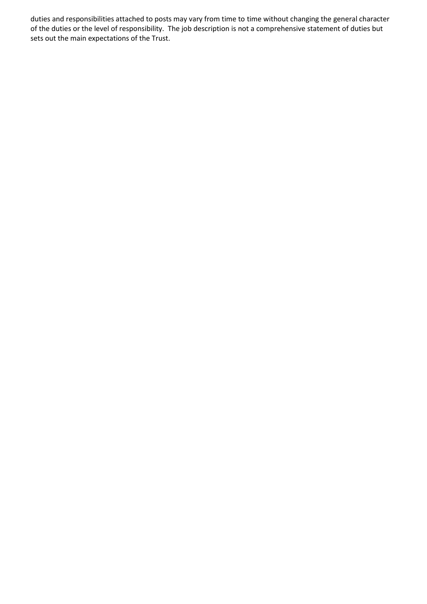duties and responsibilities attached to posts may vary from time to time without changing the general character of the duties or the level of responsibility. The job description is not a comprehensive statement of duties but sets out the main expectations of the Trust.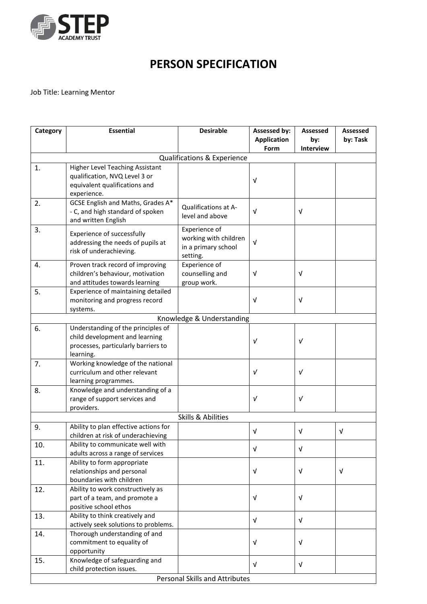

# **PERSON SPECIFICATION**

### Job Title: Learning Mentor

| Category                      | <b>Essential</b>                                         | <b>Desirable</b>                       | Assessed by:       | <b>Assessed</b>  | <b>Assessed</b> |  |  |  |  |
|-------------------------------|----------------------------------------------------------|----------------------------------------|--------------------|------------------|-----------------|--|--|--|--|
|                               |                                                          |                                        | <b>Application</b> | by:              | by: Task        |  |  |  |  |
|                               |                                                          |                                        | Form               | <b>Interview</b> |                 |  |  |  |  |
| Qualifications & Experience   |                                                          |                                        |                    |                  |                 |  |  |  |  |
| 1.                            | <b>Higher Level Teaching Assistant</b>                   |                                        |                    |                  |                 |  |  |  |  |
|                               | qualification, NVQ Level 3 or                            |                                        | $\sqrt{ }$         |                  |                 |  |  |  |  |
|                               | equivalent qualifications and                            |                                        |                    |                  |                 |  |  |  |  |
|                               | experience.                                              |                                        |                    |                  |                 |  |  |  |  |
| 2.                            | GCSE English and Maths, Grades A*                        | <b>Qualifications at A-</b>            |                    |                  |                 |  |  |  |  |
|                               | - C, and high standard of spoken                         | level and above                        | $\sqrt{ }$         | $\sqrt{ }$       |                 |  |  |  |  |
|                               | and written English                                      |                                        |                    |                  |                 |  |  |  |  |
| 3.                            | Experience of successfully                               | Experience of<br>working with children |                    |                  |                 |  |  |  |  |
|                               | addressing the needs of pupils at                        | in a primary school                    | $\sqrt{ }$         |                  |                 |  |  |  |  |
|                               | risk of underachieving.                                  | setting.                               |                    |                  |                 |  |  |  |  |
| 4.                            | Proven track record of improving                         | Experience of                          |                    |                  |                 |  |  |  |  |
|                               | children's behaviour, motivation                         | counselling and                        | $\sqrt{ }$         | $\sqrt{ }$       |                 |  |  |  |  |
|                               | and attitudes towards learning                           | group work.                            |                    |                  |                 |  |  |  |  |
| 5.                            | Experience of maintaining detailed                       |                                        |                    |                  |                 |  |  |  |  |
|                               | monitoring and progress record                           |                                        | $\sqrt{ }$         | V                |                 |  |  |  |  |
|                               | systems.                                                 |                                        |                    |                  |                 |  |  |  |  |
|                               |                                                          | Knowledge & Understanding              |                    |                  |                 |  |  |  |  |
| 6.                            | Understanding of the principles of                       |                                        |                    |                  |                 |  |  |  |  |
|                               | child development and learning                           |                                        | $\sqrt{ }$         | $\sqrt{ }$       |                 |  |  |  |  |
|                               | processes, particularly barriers to                      |                                        |                    |                  |                 |  |  |  |  |
|                               | learning.                                                |                                        |                    |                  |                 |  |  |  |  |
| 7.                            | Working knowledge of the national                        |                                        |                    |                  |                 |  |  |  |  |
|                               | curriculum and other relevant                            |                                        | $\sqrt{ }$         | $\sqrt{ }$       |                 |  |  |  |  |
|                               | learning programmes.<br>Knowledge and understanding of a |                                        |                    |                  |                 |  |  |  |  |
| 8.                            | range of support services and                            |                                        | V                  | $\sqrt{ }$       |                 |  |  |  |  |
|                               | providers.                                               |                                        |                    |                  |                 |  |  |  |  |
| <b>Skills &amp; Abilities</b> |                                                          |                                        |                    |                  |                 |  |  |  |  |
| 9.                            | Ability to plan effective actions for                    |                                        |                    |                  |                 |  |  |  |  |
|                               | children at risk of underachieving                       |                                        | $\sqrt{ }$         | $\sqrt{ }$       | $\sqrt{ }$      |  |  |  |  |
| 10.                           | Ability to communicate well with                         |                                        |                    |                  |                 |  |  |  |  |
|                               | adults across a range of services                        |                                        | $\sqrt{ }$         | $\sqrt{ }$       |                 |  |  |  |  |
| 11.                           | Ability to form appropriate                              |                                        |                    |                  |                 |  |  |  |  |
|                               | relationships and personal                               |                                        | $\sqrt{ }$         | v                | V               |  |  |  |  |
|                               | boundaries with children                                 |                                        |                    |                  |                 |  |  |  |  |
| 12.                           | Ability to work constructively as                        |                                        |                    |                  |                 |  |  |  |  |
|                               | part of a team, and promote a                            |                                        | $\sqrt{ }$         | V                |                 |  |  |  |  |
|                               | positive school ethos                                    |                                        |                    |                  |                 |  |  |  |  |
| 13.                           | Ability to think creatively and                          |                                        | $\sqrt{ }$         | $\sqrt{ }$       |                 |  |  |  |  |
|                               | actively seek solutions to problems.                     |                                        |                    |                  |                 |  |  |  |  |
| 14.                           | Thorough understanding of and                            |                                        |                    |                  |                 |  |  |  |  |
|                               | commitment to equality of                                |                                        | $\sqrt{ }$         | V                |                 |  |  |  |  |
|                               | opportunity                                              |                                        |                    |                  |                 |  |  |  |  |
| 15.                           | Knowledge of safeguarding and                            |                                        | $\sqrt{ }$         | $\sqrt{ }$       |                 |  |  |  |  |
| child protection issues.      |                                                          |                                        |                    |                  |                 |  |  |  |  |
|                               | <b>Personal Skills and Attributes</b>                    |                                        |                    |                  |                 |  |  |  |  |